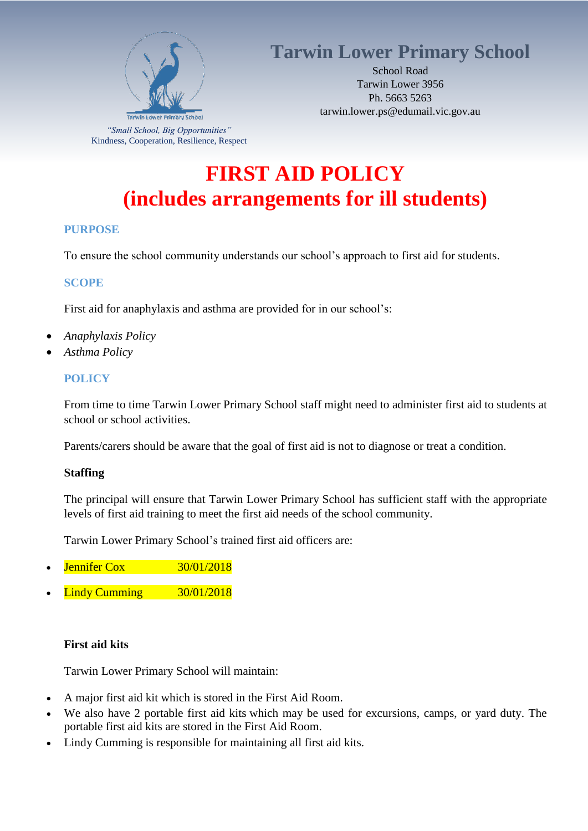

Kindness, Cooperation, Resilience, Respect

## **Tarwin Lower Primary School**

School Road Tarwin Lower 3956 Ph. 5663 5263 tarwin.lower.ps@edumail.vic.gov.au

# **FIRST AID POLICY (includes arrangements for ill students)**

### **PURPOSE**

To ensure the school community understands our school's approach to first aid for students.

### **SCOPE**

First aid for anaphylaxis and asthma are provided for in our school's:

- *Anaphylaxis Policy*
- *Asthma Policy*

### **POLICY**

From time to time Tarwin Lower Primary School staff might need to administer first aid to students at school or school activities.

Parents/carers should be aware that the goal of first aid is not to diagnose or treat a condition.

### **Staffing**

The principal will ensure that Tarwin Lower Primary School has sufficient staff with the appropriate levels of first aid training to meet the first aid needs of the school community.

Tarwin Lower Primary School's trained first aid officers are:

- Jennifer Cox 30/01/2018
- Lindy Cumming 30/01/2018

### **First aid kits**

Tarwin Lower Primary School will maintain:

- A major first aid kit which is stored in the First Aid Room.
- We also have 2 portable first aid kits which may be used for excursions, camps, or yard duty. The portable first aid kits are stored in the First Aid Room.
- Lindy Cumming is responsible for maintaining all first aid kits.